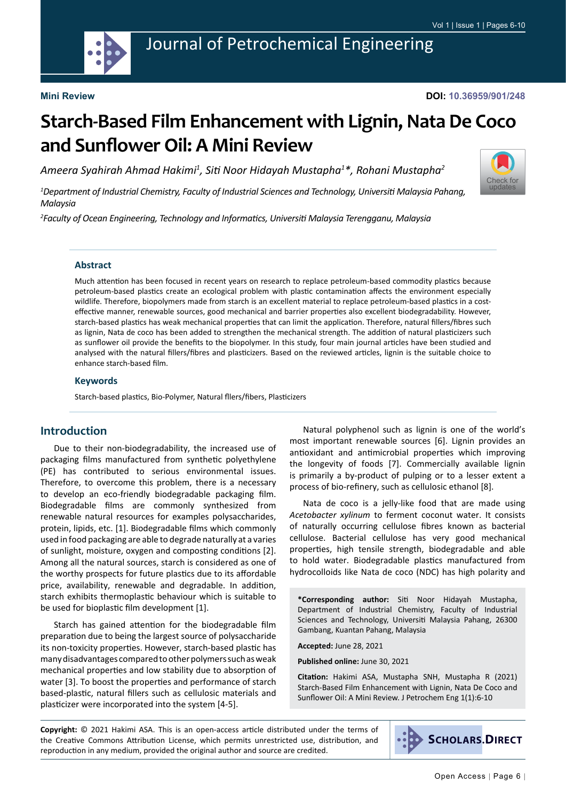

## Journal of Petrochemical Engineering

#### **Mini Review**

# **Starch-Based Film Enhancement with Lignin, Nata De Coco and Sunflower Oil: A Mini Review**

*Ameera Syahirah Ahmad Hakimi1 , Siti Noor Hidayah Mustapha<sup>1</sup> \*, Rohani Mustapha<sup>2</sup>*

*1 Department of Industrial Chemistry, Faculty of Industrial Sciences and Technology, Universiti Malaysia Pahang, Malaysia*

*2 Faculty of Ocean Engineering, Technology and Informatics, Universiti Malaysia Terengganu, Malaysia*



Much attention has been focused in recent years on research to replace petroleum-based commodity plastics because petroleum-based plastics create an ecological problem with plastic contamination affects the environment especially wildlife. Therefore, biopolymers made from starch is an excellent material to replace petroleum-based plastics in a costeffective manner, renewable sources, good mechanical and barrier properties also excellent biodegradability. However, starch-based plastics has weak mechanical properties that can limit the application. Therefore, natural fillers/fibres such as lignin, Nata de coco has been added to strengthen the mechanical strength. The addition of natural plasticizers such as sunflower oil provide the benefits to the biopolymer. In this study, four main journal articles have been studied and analysed with the natural fillers/fibres and plasticizers. Based on the reviewed articles, lignin is the suitable choice to enhance starch-based film.

#### **Keywords**

Starch-based plastics, Bio-Polymer, Natural fllers/fibers, Plasticizers

#### **Introduction**

Due to their non-biodegradability, the increased use of packaging films manufactured from synthetic polyethylene (PE) has contributed to serious environmental issues. Therefore, to overcome this problem, there is a necessary to develop an eco-friendly biodegradable packaging film. Biodegradable films are commonly synthesized from renewable natural resources for examples polysaccharides, protein, lipids, etc. [1]. Biodegradable films which commonly used in food packaging are able to degrade naturally at a varies of sunlight, moisture, oxygen and composting conditions [2]. Among all the natural sources, starch is considered as one of the worthy prospects for future plastics due to its affordable price, availability, renewable and degradable. In addition, starch exhibits thermoplastic behaviour which is suitable to be used for bioplastic film development [1].

Starch has gained attention for the biodegradable film preparation due to being the largest source of polysaccharide its non-toxicity properties. However, starch-based plastic has many disadvantages compared to other polymers such as weak mechanical properties and low stability due to absorption of water [3]. To boost the properties and performance of starch based-plastic, natural fillers such as cellulosic materials and plasticizer were incorporated into the system [4-5].

Natural polyphenol such as lignin is one of the world's most important renewable sources [6]. Lignin provides an antioxidant and antimicrobial properties which improving the longevity of foods [7]. Commercially available lignin is primarily a by-product of pulping or to a lesser extent a process of bio-refinery, such as cellulosic ethanol [8].

Nata de coco is a jelly-like food that are made using *Acetobacter xylinum* to ferment coconut water. It consists of naturally occurring cellulose fibres known as bacterial cellulose. Bacterial cellulose has very good mechanical properties, high tensile strength, biodegradable and able to hold water. Biodegradable plastics manufactured from hydrocolloids like Nata de coco (NDC) has high polarity and

**\*Corresponding author:** Siti Noor Hidayah Mustapha, Department of Industrial Chemistry, Faculty of Industrial Sciences and Technology, Universiti Malaysia Pahang, 26300 Gambang, Kuantan Pahang, Malaysia

**Accepted:** June 28, 2021

**Published online:** June 30, 2021

**Citation:** Hakimi ASA, Mustapha SNH, Mustapha R (2021) Starch-Based Film Enhancement with Lignin, Nata De Coco and Sunflower Oil: A Mini Review. J Petrochem Eng 1(1):6-10

**Copyright:** © 2021 Hakimi ASA. This is an open-access article distributed under the terms of the Creative Commons Attribution License, which permits unrestricted use, distribution, and reproduction in any medium, provided the original author and source are credited.



[Check for](http://crossmark.crossref.org/dialog/?doi=10.36959/901/248&domain=pdf) updates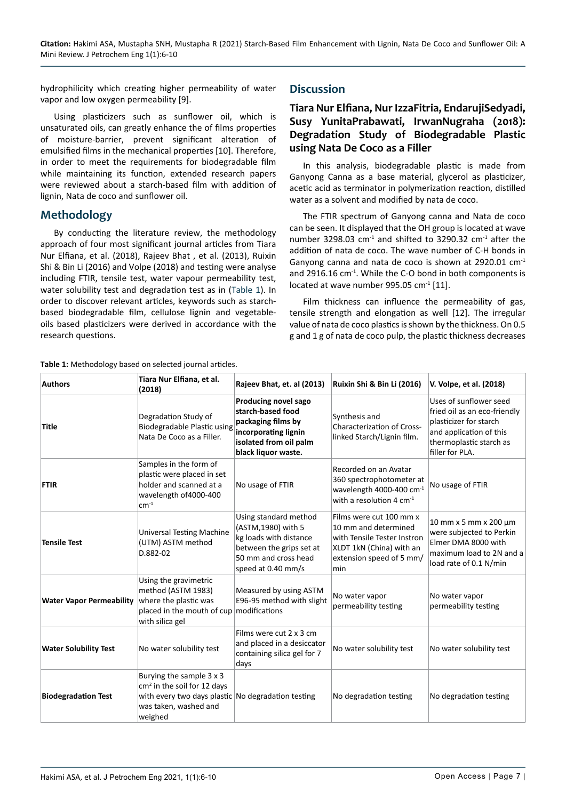hydrophilicity which creating higher permeability of water vapor and low oxygen permeability [9].

Using plasticizers such as sunflower oil, which is unsaturated oils, can greatly enhance the of films properties of moisture-barrier, prevent significant alteration of emulsified films in the mechanical properties [10]. Therefore, in order to meet the requirements for biodegradable film while maintaining its function, extended research papers were reviewed about a starch-based film with addition of lignin, Nata de coco and sunflower oil.

## **Methodology**

By conducting the literature review, the methodology approach of four most significant journal articles from Tiara Nur Elfiana, et al. (2018), Rajeev Bhat , et al. (2013), Ruixin Shi & Bin Li (2016) and Volpe (2018) and testing were analyse including FTIR, tensile test, water vapour permeability test, water solubility test and degradation test as in ([Table 1](#page-1-0)). In order to discover relevant articles, keywords such as starchbased biodegradable film, cellulose lignin and vegetableoils based plasticizers were derived in accordance with the research questions.

#### <span id="page-1-0"></span>**Table 1:** Methodology based on selected journal articles.

#### **Discussion**

#### **Tiara Nur Elfiana, Nur IzzaFitria, EndarujiSedyadi, Susy YunitaPrabawati, IrwanNugraha (2018): Degradation Study of Biodegradable Plastic using Nata De Coco as a Filler**

In this analysis, biodegradable plastic is made from Ganyong Canna as a base material, glycerol as plasticizer, acetic acid as terminator in polymerization reaction, distilled water as a solvent and modified by nata de coco.

The FTIR spectrum of Ganyong canna and Nata de coco can be seen. It displayed that the OH group is located at wave number 3298.03  $cm<sup>-1</sup>$  and shifted to 3290.32  $cm<sup>-1</sup>$  after the addition of nata de coco. The wave number of C-H bonds in Ganyong canna and nata de coco is shown at  $2920.01$  cm<sup>-1</sup> and 2916.16 cm<sup>-1</sup>. While the C-O bond in both components is located at wave number 995.05 cm<sup>-1</sup> [11].

Film thickness can influence the permeability of gas, tensile strength and elongation as well [12]. The irregular value of nata de coco plastics is shown by the thickness. On 0.5 g and 1 g of nata de coco pulp, the plastic thickness decreases

| <b>Authors</b>                  | Tiara Nur Elfiana, et al.<br>(2018)                                                                                                                           | Rajeev Bhat, et. al (2013)                                                                                                                       | Ruixin Shi & Bin Li (2016)                                                                                                                    | V. Volpe, et al. (2018)                                                                                                                                   |
|---------------------------------|---------------------------------------------------------------------------------------------------------------------------------------------------------------|--------------------------------------------------------------------------------------------------------------------------------------------------|-----------------------------------------------------------------------------------------------------------------------------------------------|-----------------------------------------------------------------------------------------------------------------------------------------------------------|
| Title                           | Degradation Study of<br>Biodegradable Plastic using<br>Nata De Coco as a Filler.                                                                              | Producing novel sago<br>starch-based food<br>packaging films by<br>incorporating lignin<br>isolated from oil palm<br>black liquor waste.         | Synthesis and<br><b>Characterization of Cross-</b><br>linked Starch/Lignin film.                                                              | Uses of sunflower seed<br>fried oil as an eco-friendly<br>plasticizer for starch<br>and application of this<br>thermoplastic starch as<br>filler for PLA. |
| <b>FTIR</b>                     | Samples in the form of<br>plastic were placed in set<br>holder and scanned at a<br>wavelength of 4000-400<br>$cm-1$                                           | No usage of FTIR                                                                                                                                 | Recorded on an Avatar<br>360 spectrophotometer at<br>wavelength 4000-400 cm-1<br>with a resolution 4 $cm-1$                                   | No usage of FTIR                                                                                                                                          |
| <b>Tensile Test</b>             | <b>Universal Testing Machine</b><br>(UTM) ASTM method<br>D.882-02                                                                                             | Using standard method<br>(ASTM, 1980) with 5<br>kg loads with distance<br>between the grips set at<br>50 mm and cross head<br>speed at 0.40 mm/s | Films were cut 100 mm x<br>10 mm and determined<br>with Tensile Tester Instron<br>XLDT 1kN (China) with an<br>extension speed of 5 mm/<br>min | 10 mm x 5 mm x 200 μm<br>were subjected to Perkin<br>Elmer DMA 8000 with<br>maximum load to 2N and a<br>load rate of 0.1 N/min                            |
| <b>Water Vapor Permeability</b> | Using the gravimetric<br>method (ASTM 1983)<br>where the plastic was<br>placed in the mouth of cup modifications<br>with silica gel                           | Measured by using ASTM<br>E96-95 method with slight                                                                                              | No water vapor<br>permeability testing                                                                                                        | No water vapor<br>permeability testing                                                                                                                    |
| <b>Water Solubility Test</b>    | No water solubility test                                                                                                                                      | Films were cut 2 x 3 cm<br>and placed in a desiccator<br>containing silica gel for 7<br>days                                                     | No water solubility test                                                                                                                      | No water solubility test                                                                                                                                  |
| <b>Biodegradation Test</b>      | Burying the sample 3 x 3<br>cm <sup>2</sup> in the soil for 12 days<br>with every two days plastic No degradation testing<br>was taken, washed and<br>weighed |                                                                                                                                                  | No degradation testing                                                                                                                        | No degradation testing                                                                                                                                    |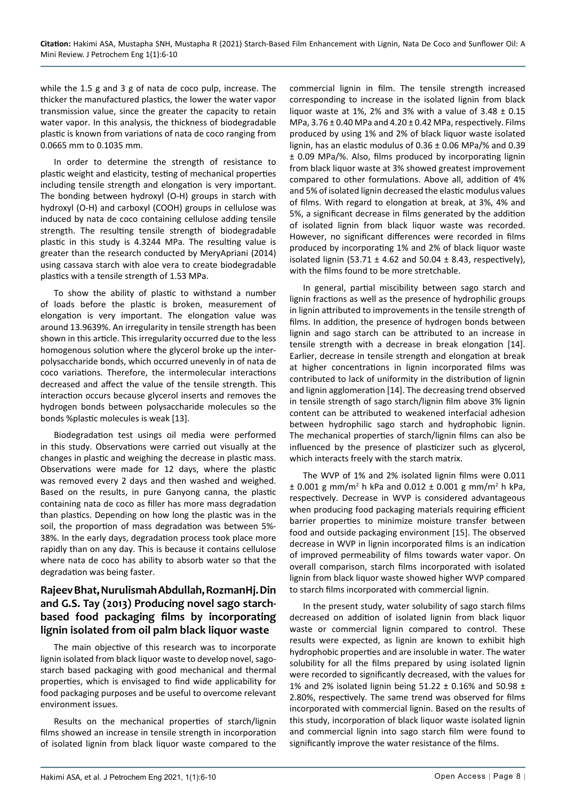while the 1.5 g and 3 g of nata de coco pulp, increase. The thicker the manufactured plastics, the lower the water vapor transmission value, since the greater the capacity to retain water vapor. In this analysis, the thickness of biodegradable plastic is known from variations of nata de coco ranging from 0.0665 mm to 0.1035 mm.

In order to determine the strength of resistance to plastic weight and elasticity, testing of mechanical properties including tensile strength and elongation is very important. The bonding between hydroxyl (O-H) groups in starch with hydroxyl (O-H) and carboxyl (COOH) groups in cellulose was induced by nata de coco containing cellulose adding tensile strength. The resulting tensile strength of biodegradable plastic in this study is 4.3244 MPa. The resulting value is greater than the research conducted by MeryApriani (2014) using cassava starch with aloe vera to create biodegradable plastics with a tensile strength of 1.53 MPa.

To show the ability of plastic to withstand a number of loads before the plastic is broken, measurement of elongation is very important. The elongation value was around 13.9639%. An irregularity in tensile strength has been shown in this article. This irregularity occurred due to the less homogenous solution where the glycerol broke up the interpolysaccharide bonds, which occurred unevenly in of nata de coco variations. Therefore, the intermolecular interactions decreased and affect the value of the tensile strength. This interaction occurs because glycerol inserts and removes the hydrogen bonds between polysaccharide molecules so the bonds %plastic molecules is weak [13].

Biodegradation test usings oil media were performed in this study. Observations were carried out visually at the changes in plastic and weighing the decrease in plastic mass. Observations were made for 12 days, where the plastic was removed every 2 days and then washed and weighed. Based on the results, in pure Ganyong canna, the plastic containing nata de coco as filler has more mass degradation than plastics. Depending on how long the plastic was in the soil, the proportion of mass degradation was between 5%- 38%. In the early days, degradation process took place more rapidly than on any day. This is because it contains cellulose where nata de coco has ability to absorb water so that the degradation was being faster.

### **Rajeev Bhat, Nurulismah Abdullah, RozmanHj. Din and G.S. Tay (2013) Producing novel sago starchbased food packaging films by incorporating lignin isolated from oil palm black liquor waste**

The main objective of this research was to incorporate lignin isolated from black liquor waste to develop novel, sagostarch based packaging with good mechanical and thermal properties, which is envisaged to find wide applicability for food packaging purposes and be useful to overcome relevant environment issues.

Results on the mechanical properties of starch/lignin films showed an increase in tensile strength in incorporation of isolated lignin from black liquor waste compared to the commercial lignin in film. The tensile strength increased corresponding to increase in the isolated lignin from black liquor waste at 1%, 2% and 3% with a value of  $3.48 \pm 0.15$ MPa,  $3.76 \pm 0.40$  MPa and  $4.20 \pm 0.42$  MPa, respectively. Films produced by using 1% and 2% of black liquor waste isolated lignin, has an elastic modulus of 0.36 ± 0.06 MPa/% and 0.39 ± 0.09 MPa/%. Also, films produced by incorporating lignin from black liquor waste at 3% showed greatest improvement compared to other formulations. Above all, addition of 4% and 5% of isolated lignin decreased the elastic modulus values of films. With regard to elongation at break, at 3%, 4% and 5%, a significant decrease in films generated by the addition of isolated lignin from black liquor waste was recorded. However, no significant differences were recorded in films produced by incorporating 1% and 2% of black liquor waste isolated lignin (53.71  $\pm$  4.62 and 50.04  $\pm$  8.43, respectively), with the films found to be more stretchable.

In general, partial miscibility between sago starch and lignin fractions as well as the presence of hydrophilic groups in lignin attributed to improvements in the tensile strength of films. In addition, the presence of hydrogen bonds between lignin and sago starch can be attributed to an increase in tensile strength with a decrease in break elongation [14]. Earlier, decrease in tensile strength and elongation at break at higher concentrations in lignin incorporated films was contributed to lack of uniformity in the distribution of lignin and lignin agglomeration [14]. The decreasing trend observed in tensile strength of sago starch/lignin film above 3% lignin content can be attributed to weakened interfacial adhesion between hydrophilic sago starch and hydrophobic lignin. The mechanical properties of starch/lignin films can also be influenced by the presence of plasticizer such as glycerol, which interacts freely with the starch matrix.

The WVP of 1% and 2% isolated lignin films were 0.011 ± 0.001 g mm/m<sup>2</sup> h kPa and 0.012 ± 0.001 g mm/m<sup>2</sup> h kPa, respectively. Decrease in WVP is considered advantageous when producing food packaging materials requiring efficient barrier properties to minimize moisture transfer between food and outside packaging environment [15]. The observed decrease in WVP in lignin incorporated films is an indication of improved permeability of films towards water vapor. On overall comparison, starch films incorporated with isolated lignin from black liquor waste showed higher WVP compared to starch films incorporated with commercial lignin.

In the present study, water solubility of sago starch films decreased on addition of isolated lignin from black liquor waste or commercial lignin compared to control. These results were expected, as lignin are known to exhibit high hydrophobic properties and are insoluble in water. The water solubility for all the films prepared by using isolated lignin were recorded to significantly decreased, with the values for 1% and 2% isolated lignin being 51.22 ± 0.16% and 50.98 ± 2.80%, respectively. The same trend was observed for films incorporated with commercial lignin. Based on the results of this study, incorporation of black liquor waste isolated lignin and commercial lignin into sago starch film were found to significantly improve the water resistance of the films.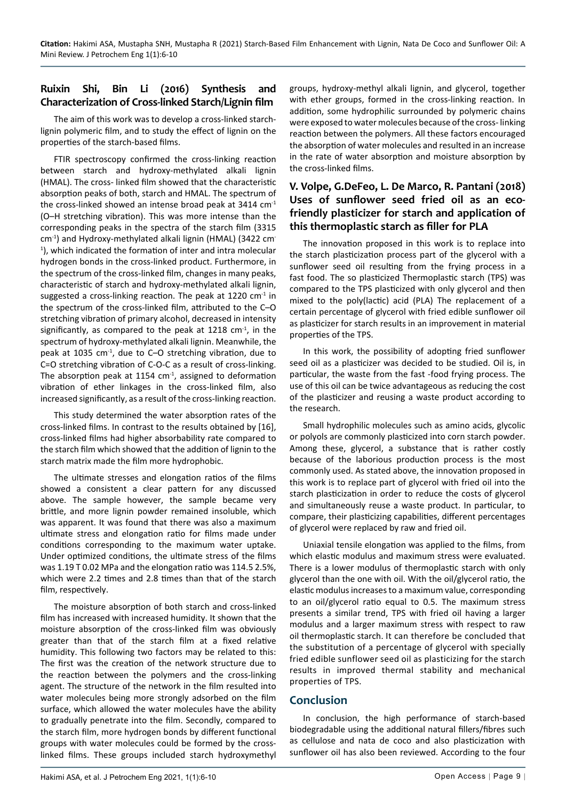### **Ruixin Shi, Bin Li (2016) Synthesis and Characterization of Cross-linked Starch/Lignin film**

The aim of this work was to develop a cross-linked starchlignin polymeric film, and to study the effect of lignin on the properties of the starch-based films.

FTIR spectroscopy confirmed the cross-linking reaction between starch and hydroxy-methylated alkali lignin (HMAL). The cross- linked film showed that the characteristic absorption peaks of both, starch and HMAL. The spectrum of the cross-linked showed an intense broad peak at 3414 cm-1 (O–H stretching vibration). This was more intense than the corresponding peaks in the spectra of the starch film (3315 cm-1) and Hydroxy-methylated alkali lignin (HMAL) (3422 cm-1 ), which indicated the formation of inter and intra molecular hydrogen bonds in the cross-linked product. Furthermore, in the spectrum of the cross-linked film, changes in many peaks, characteristic of starch and hydroxy-methylated alkali lignin, suggested a cross-linking reaction. The peak at  $1220 \text{ cm}^{-1}$  in the spectrum of the cross-linked film, attributed to the C–O stretching vibration of primary alcohol, decreased in intensity significantly, as compared to the peak at  $1218 \text{ cm}^{-1}$ , in the spectrum of hydroxy-methylated alkali lignin. Meanwhile, the peak at 1035 cm-1, due to C–O stretching vibration, due to C=O stretching vibration of C-O-C as a result of cross-linking. The absorption peak at 1154  $cm<sup>-1</sup>$ , assigned to deformation vibration of ether linkages in the cross-linked film, also increased significantly, as a result of the cross-linking reaction.

This study determined the water absorption rates of the cross-linked films. In contrast to the results obtained by [16], cross-linked films had higher absorbability rate compared to the starch film which showed that the addition of lignin to the starch matrix made the film more hydrophobic.

The ultimate stresses and elongation ratios of the films showed a consistent a clear pattern for any discussed above. The sample however, the sample became very brittle, and more lignin powder remained insoluble, which was apparent. It was found that there was also a maximum ultimate stress and elongation ratio for films made under conditions corresponding to the maximum water uptake. Under optimized conditions, the ultimate stress of the films was 1.19 T 0.02 MPa and the elongation ratio was 114.5 2.5%, which were 2.2 times and 2.8 times than that of the starch film, respectively.

The moisture absorption of both starch and cross-linked film has increased with increased humidity. It shown that the moisture absorption of the cross-linked film was obviously greater than that of the starch film at a fixed relative humidity. This following two factors may be related to this: The first was the creation of the network structure due to the reaction between the polymers and the cross-linking agent. The structure of the network in the film resulted into water molecules being more strongly adsorbed on the film surface, which allowed the water molecules have the ability to gradually penetrate into the film. Secondly, compared to the starch film, more hydrogen bonds by different functional groups with water molecules could be formed by the crosslinked films. These groups included starch hydroxymethyl groups, hydroxy-methyl alkali lignin, and glycerol, together with ether groups, formed in the cross-linking reaction. In addition, some hydrophilic surrounded by polymeric chains were exposed to water molecules because of the cross- linking reaction between the polymers. All these factors encouraged the absorption of water molecules and resulted in an increase in the rate of water absorption and moisture absorption by the cross-linked films.

## **V. Volpe, G.DeFeo, L. De Marco, R. Pantani (2018) Uses of sunflower seed fried oil as an ecofriendly plasticizer for starch and application of this thermoplastic starch as filler for PLA**

The innovation proposed in this work is to replace into the starch plasticization process part of the glycerol with a sunflower seed oil resulting from the frying process in a fast food. The so plasticized Thermoplastic starch (TPS) was compared to the TPS plasticized with only glycerol and then mixed to the poly(lactic) acid (PLA) The replacement of a certain percentage of glycerol with fried edible sunflower oil as plasticizer for starch results in an improvement in material properties of the TPS.

In this work, the possibility of adopting fried sunflower seed oil as a plasticizer was decided to be studied. Oil is, in particular, the waste from the fast -food frying process. The use of this oil can be twice advantageous as reducing the cost of the plasticizer and reusing a waste product according to the research.

Small hydrophilic molecules such as amino acids, glycolic or polyols are commonly plasticized into corn starch powder. Among these, glycerol, a substance that is rather costly because of the laborious production process is the most commonly used. As stated above, the innovation proposed in this work is to replace part of glycerol with fried oil into the starch plasticization in order to reduce the costs of glycerol and simultaneously reuse a waste product. In particular, to compare, their plasticizing capabilities, different percentages of glycerol were replaced by raw and fried oil.

Uniaxial tensile elongation was applied to the films, from which elastic modulus and maximum stress were evaluated. There is a lower modulus of thermoplastic starch with only glycerol than the one with oil. With the oil/glycerol ratio, the elastic modulus increases to a maximum value, corresponding to an oil/glycerol ratio equal to 0.5. The maximum stress presents a similar trend, TPS with fried oil having a larger modulus and a larger maximum stress with respect to raw oil thermoplastic starch. It can therefore be concluded that the substitution of a percentage of glycerol with specially fried edible sunflower seed oil as plasticizing for the starch results in improved thermal stability and mechanical properties of TPS.

## **Conclusion**

In conclusion, the high performance of starch-based biodegradable using the additional natural fillers/fibres such as cellulose and nata de coco and also plasticization with sunflower oil has also been reviewed. According to the four